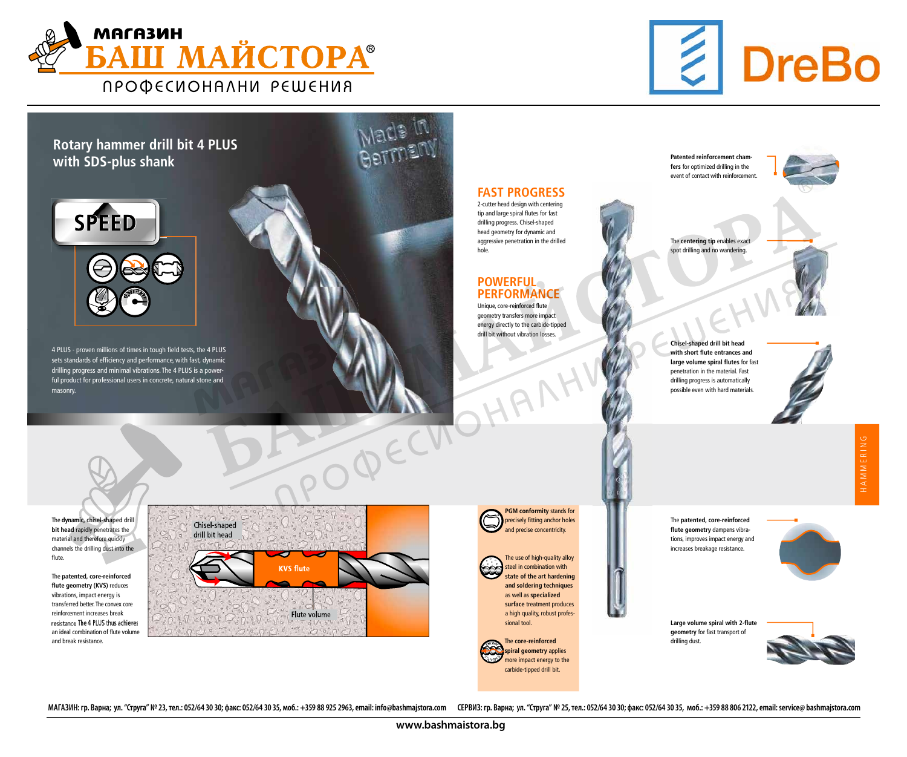

### Rotary hammer drill bit 4 PLUS with SDS-plus shank



4 PLUS - proven millions of times in tough field tests, the 4 PLUS sets standards of efficiency and performance, with fast, dynamic drilling progress and minimal vibrations. The 4 PLUS is a powerful product for professional users in concrete, natural stone and masonry.



The centering tip enables exact spot drilling and no wandering.

The dynamic, chisel-shaped drill bit head rapidly penetrates the material and therefore quickly channels the drilling dust into the flute.

Patented reinforcement chamfers for optimized drilling in the event of contact with reinforcemer

The patented, core-reinforced flute geometry (KVS) reduces vibrations, impact energy is transferred better. The convex core reinforcement increases break resistance. The 4 PLUS thus achieves an ideal combination of flute volume and break resistance.

| Chisel-shaped<br>drill bit head |                  |  |
|---------------------------------|------------------|--|
|                                 | <b>KVS flute</b> |  |
|                                 |                  |  |
|                                 | Flute volume     |  |

Chisel-shaped drill bit head with short flute entrances and large volume spiral flutes for fast penetration in the material. Fast drilling progress is automatically possible even with hard materials.



HAMMERING



Large volume spiral with 2-flute geometry for fast transport of drilling dust.



FAST PROGRESS

2-cutter head design with centering tip and large spiral flutes for fast drilling progress. Chisel-shaped head geometry for dynamic and aggressive penetration in the drilled hole.

#### POWERFUL PERFORMANCE

Unique, core-reinforced flute geometry transfers more impact energy directly to the carbide-tipped drill bit without vibration losses.

The patented, core-reinforced flute geometry dampens vibrations, improves impact energy and increases breakage resistance.

МАГАЗИН: гр. Варна; ул. "Струга" № 23, тел.: 052/64 30 30; факс: 052/64 30 35, моб.: +359 88 925 2963, email: info@bashmajstora.com СЕРВИЗ: гр. Варна; ул. "Струга" № 25, тел.: 052/64 30 30; факс: 052/64 30 35, моб.



precisely fitting anchor holes and precise concentricity.



The use of high-quality alloy steel in combination with state of the art hardening and soldering techniques as well as specialized surface treatment produces a high quality, robust professional tool.

The core-reinforced spiral geometry applies more impact energy to the carbide-tipped drill bit. N